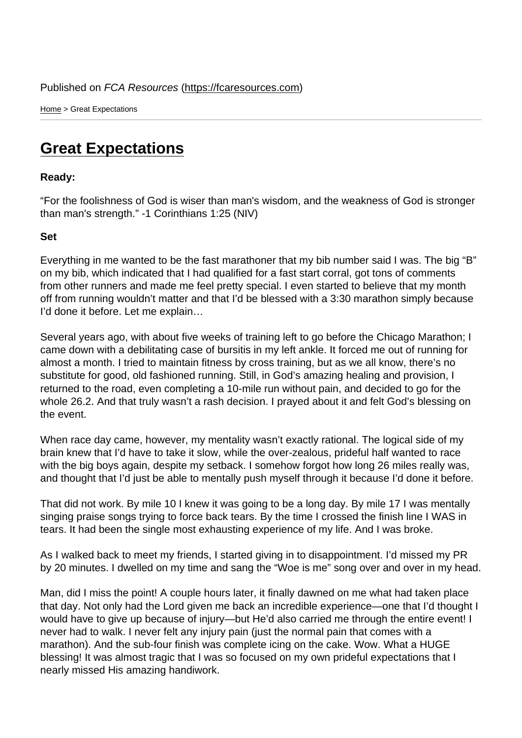Home > Great Expectations

## [Gre](https://fcaresources.com/)at Expectations

Ready:

["For the foolishness of God is w](https://fcaresources.com/devotional/great-expectations)iser than man's wisdom, and the weakness of God is stronger than man's strength." -1 Corinthians 1:25 (NIV)

Set

Everything in me wanted to be the fast marathoner that my bib number said I was. The big "B" on my bib, which indicated that I had qualified for a fast start corral, got tons of comments from other runners and made me feel pretty special. I even started to believe that my month off from running wouldn't matter and that I'd be blessed with a 3:30 marathon simply because I'd done it before. Let me explain…

Several years ago, with about five weeks of training left to go before the Chicago Marathon; I came down with a debilitating case of bursitis in my left ankle. It forced me out of running for almost a month. I tried to maintain fitness by cross training, but as we all know, there's no substitute for good, old fashioned running. Still, in God's amazing healing and provision, I returned to the road, even completing a 10-mile run without pain, and decided to go for the whole 26.2. And that truly wasn't a rash decision. I prayed about it and felt God's blessing on the event.

When race day came, however, my mentality wasn't exactly rational. The logical side of my brain knew that I'd have to take it slow, while the over-zealous, prideful half wanted to race with the big boys again, despite my setback. I somehow forgot how long 26 miles really was, and thought that I'd just be able to mentally push myself through it because I'd done it before.

That did not work. By mile 10 I knew it was going to be a long day. By mile 17 I was mentally singing praise songs trying to force back tears. By the time I crossed the finish line I WAS in tears. It had been the single most exhausting experience of my life. And I was broke.

As I walked back to meet my friends, I started giving in to disappointment. I'd missed my PR by 20 minutes. I dwelled on my time and sang the "Woe is me" song over and over in my head.

Man, did I miss the point! A couple hours later, it finally dawned on me what had taken place that day. Not only had the Lord given me back an incredible experience—one that I'd thought I would have to give up because of injury—but He'd also carried me through the entire event! I never had to walk. I never felt any injury pain (just the normal pain that comes with a marathon). And the sub-four finish was complete icing on the cake. Wow. What a HUGE blessing! It was almost tragic that I was so focused on my own prideful expectations that I nearly missed His amazing handiwork.